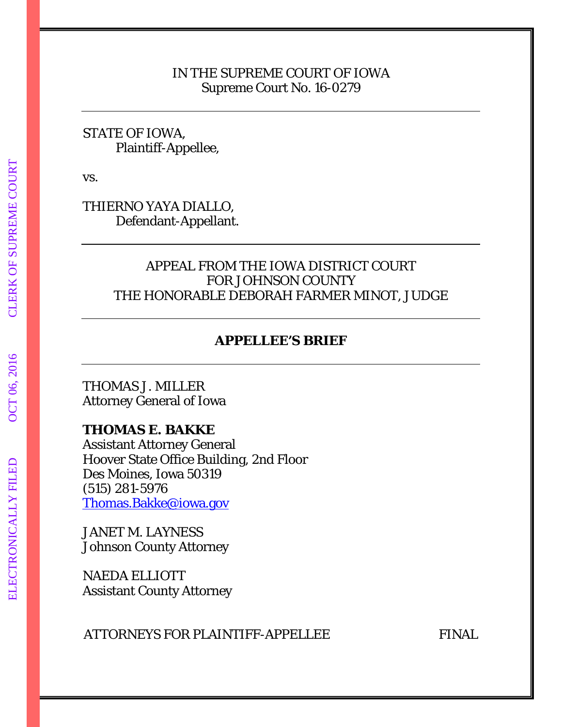## IN THE SUPREME COURT OF IOWA Supreme Court No. 16-0279

# STATE OF IOWA, Plaintiff-Appellee,

vs.

THIERNO YAYA DIALLO, Defendant-Appellant.

# APPEAL FROM THE IOWA DISTRICT COURT FOR JOHNSON COUNTY THE HONORABLE DEBORAH FARMER MINOT, JUDGE

# **APPELLEE'S BRIEF**

THOMAS J. MILLER Attorney General of Iowa

# **THOMAS E. BAKKE**

Assistant Attorney General Hoover State Office Building, 2nd Floor Des Moines, Iowa 50319 (515) 281-5976 [Thomas.Bakke@iowa.gov](mailto:Thomas.Bakke@iowa.gov)

JANET M. LAYNESS Johnson County Attorney

NAEDA ELLIOTT Assistant County Attorney

ATTORNEYS FOR PLAINTIFF-APPELLEE FINAL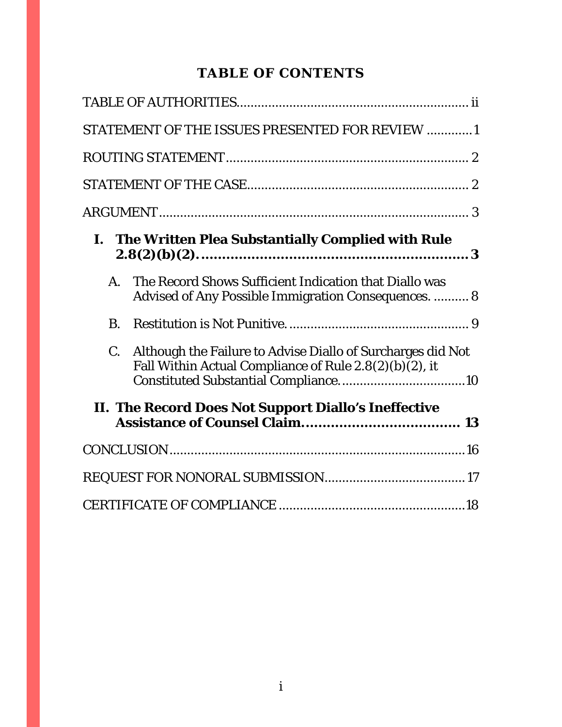# **TABLE OF CONTENTS**

|           | STATEMENT OF THE ISSUES PRESENTED FOR REVIEW 1                                                                           |  |
|-----------|--------------------------------------------------------------------------------------------------------------------------|--|
|           |                                                                                                                          |  |
|           |                                                                                                                          |  |
|           |                                                                                                                          |  |
|           | I. The Written Plea Substantially Complied with Rule                                                                     |  |
| A.        | The Record Shows Sufficient Indication that Diallo was<br>Advised of Any Possible Immigration Consequences.  8           |  |
| <b>B.</b> |                                                                                                                          |  |
|           | C. Although the Failure to Advise Diallo of Surcharges did Not<br>Fall Within Actual Compliance of Rule 2.8(2)(b)(2), it |  |
|           | II. The Record Does Not Support Diallo's Ineffective                                                                     |  |
|           |                                                                                                                          |  |
|           |                                                                                                                          |  |
|           |                                                                                                                          |  |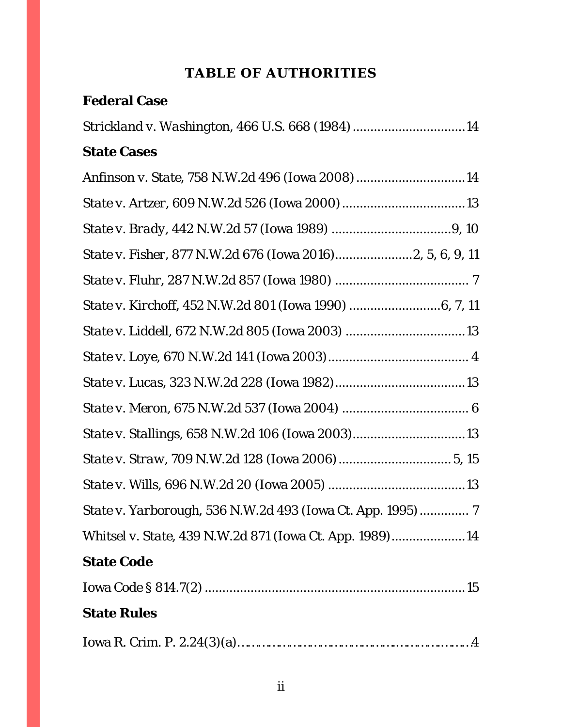# **TABLE OF AUTHORITIES**

<span id="page-2-0"></span>

| <b>Federal Case</b>                                         |
|-------------------------------------------------------------|
| Strickland v. Washington, 466 U.S. 668 (1984) 14            |
| <b>State Cases</b>                                          |
| Anfinson v. State, 758 N.W.2d 496 (Iowa 2008)14             |
|                                                             |
|                                                             |
| State v. Fisher, 877 N.W.2d 676 (Iowa 2016)2, 5, 6, 9, 11   |
|                                                             |
|                                                             |
|                                                             |
|                                                             |
|                                                             |
|                                                             |
|                                                             |
|                                                             |
|                                                             |
| State v. Yarborough, 536 N.W.2d 493 (Iowa Ct. App. 1995)  7 |
| Whitsel v. State, 439 N.W.2d 871 (Iowa Ct. App. 1989)14     |
| <b>State Code</b>                                           |
|                                                             |
| <b>State Rules</b>                                          |
|                                                             |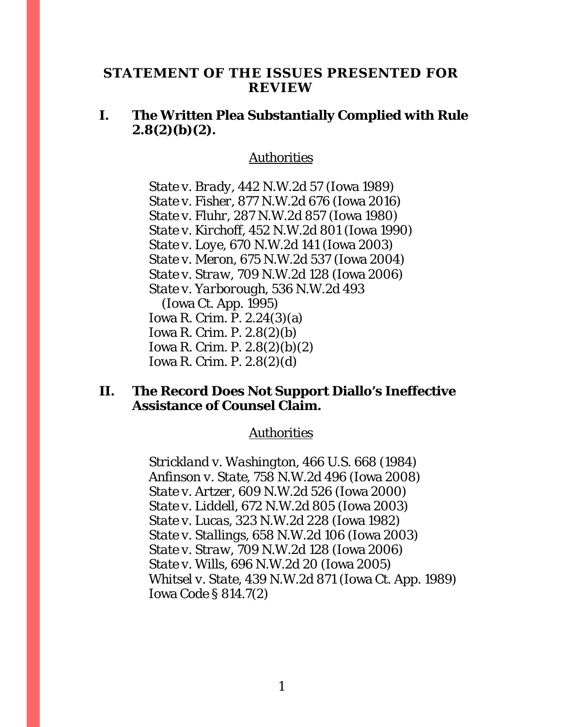### <span id="page-4-0"></span>**STATEMENT OF THE ISSUES PRESENTED FOR REVIEW**

# **I. The Written Plea Substantially Complied with Rule 2.8(2)(b)(2).**

#### Authorities

*State v. Brady*, 442 N.W.2d 57 (Iowa 1989) *State v. Fisher*, 877 N.W.2d 676 (Iowa 2016) *State v. Fluhr*, 287 N.W.2d 857 (Iowa 1980) *State v. Kirchoff*, 452 N.W.2d 801 (Iowa 1990) *State v. Loye*, 670 N.W.2d 141 (Iowa 2003) *State v. Meron*, 675 N.W.2d 537 (Iowa 2004) *State v. Straw*, 709 N.W.2d 128 (Iowa 2006) *State v. Yarborough*, 536 N.W.2d 493 (Iowa Ct. App. 1995) Iowa R. Crim. P. 2.24(3)(a) Iowa R. Crim. P. 2.8(2)(b) Iowa R. Crim. P. 2.8(2)(b)(2) Iowa R. Crim. P. 2.8(2)(d)

# **II. The Record Does Not Support Diallo's Ineffective Assistance of Counsel Claim.**

#### Authorities

*Strickland v. Washington*, 466 U.S. 668 (1984) *Anfinson v. State,* 758 N.W.2d 496 (Iowa 2008) *State v. Artzer*, 609 N.W.2d 526 (Iowa 2000) *State v. Liddell*, 672 N.W.2d 805 (Iowa 2003) *State v. Lucas*, 323 N.W.2d 228 (Iowa 1982) *State v. Stallings*, 658 N.W.2d 106 (Iowa 2003) *State v. Straw*, 709 N.W.2d 128 (Iowa 2006) *State v. Wills*, 696 N.W.2d 20 (Iowa 2005) *Whitsel v. State*, 439 N.W.2d 871 (Iowa Ct. App. 1989) Iowa Code § 814.7(2)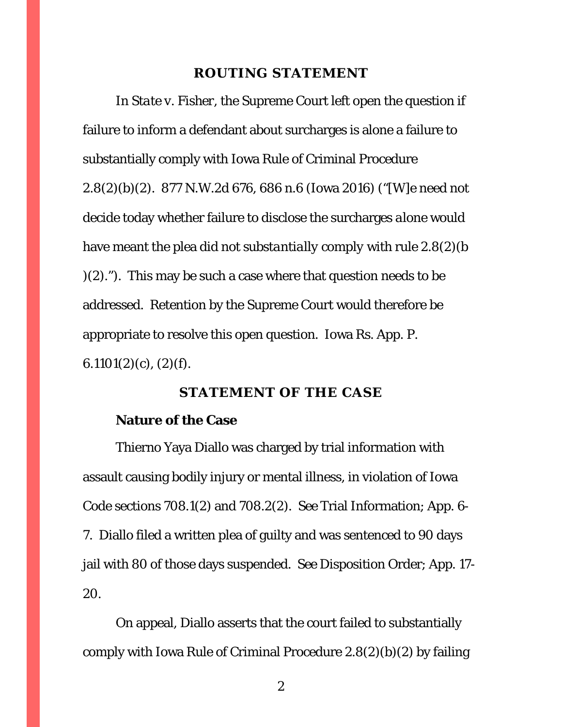#### **ROUTING STATEMENT**

<span id="page-5-0"></span>In *State v. Fisher*, the Supreme Court left open the question if failure to inform a defendant about surcharges is alone a failure to substantially comply with Iowa Rule of Criminal Procedure 2.8(2)(b)(2). 877 N.W.2d 676, 686 n.6 (Iowa 2016) ("[W]e need not decide today whether failure to disclose the surcharges *alone* would have meant the plea did not *substantially comply* with rule 2.8(2)(b )(2)."). This may be such a case where that question needs to be addressed. Retention by the Supreme Court would therefore be appropriate to resolve this open question. Iowa Rs. App. P.  $6.1101(2)(c)$ ,  $(2)(f)$ .

### **STATEMENT OF THE CASE**

### <span id="page-5-1"></span>**Nature of the Case**

Thierno Yaya Diallo was charged by trial information with assault causing bodily injury or mental illness, in violation of Iowa Code sections 708.1(2) and 708.2(2). *See* Trial Information; App. 6- 7. Diallo filed a written plea of guilty and was sentenced to 90 days jail with 80 of those days suspended. *See* Disposition Order; App. 17- 20.

On appeal, Diallo asserts that the court failed to substantially comply with Iowa Rule of Criminal Procedure 2.8(2)(b)(2) by failing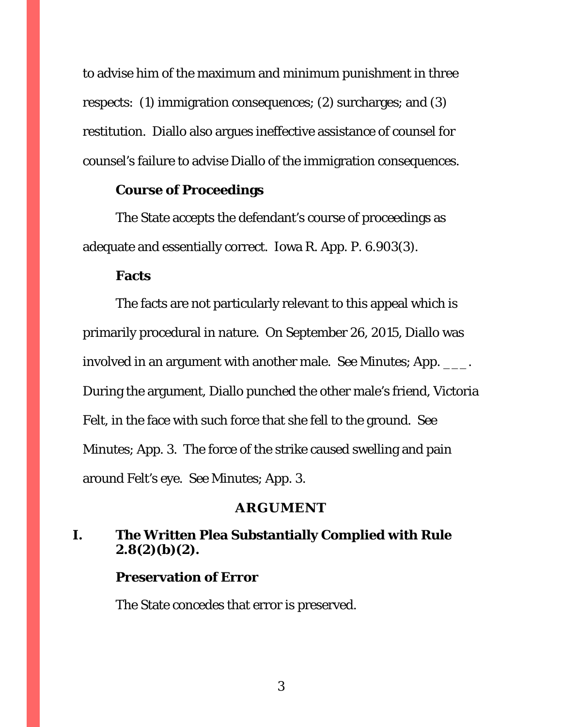to advise him of the maximum and minimum punishment in three respects: (1) immigration consequences; (2) surcharges; and (3) restitution. Diallo also argues ineffective assistance of counsel for counsel's failure to advise Diallo of the immigration consequences.

### **Course of Proceedings**

The State accepts the defendant's course of proceedings as adequate and essentially correct. Iowa R. App. P. 6.903(3).

#### **Facts**

The facts are not particularly relevant to this appeal which is primarily procedural in nature. On September 26, 2015, Diallo was involved in an argument with another male. *See* Minutes; App. \_\_\_. During the argument, Diallo punched the other male's friend, Victoria Felt, in the face with such force that she fell to the ground. *See*  Minutes; App. 3. The force of the strike caused swelling and pain around Felt's eye. *See* Minutes; App. 3.

#### **ARGUMENT**

# <span id="page-6-1"></span><span id="page-6-0"></span>**I. The Written Plea Substantially Complied with Rule 2.8(2)(b)(2).**

### **Preservation of Error**

The State concedes that error is preserved.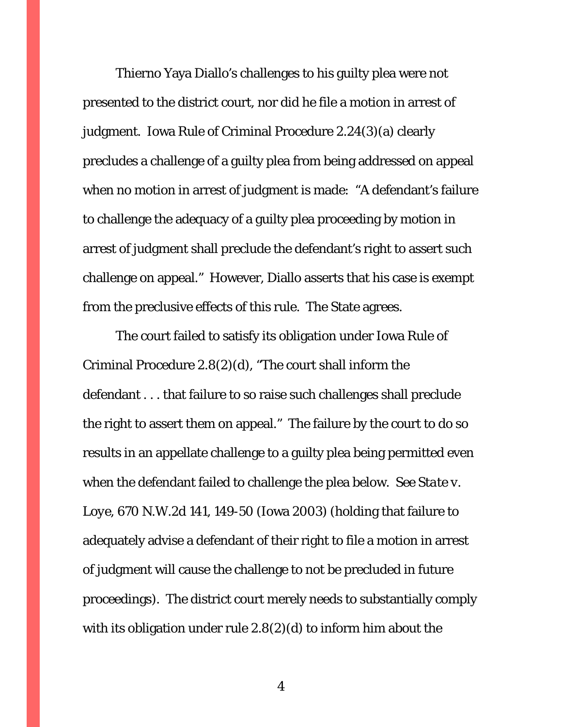Thierno Yaya Diallo's challenges to his guilty plea were not presented to the district court, nor did he file a motion in arrest of judgment. Iowa Rule of Criminal Procedure 2.24(3)(a) clearly precludes a challenge of a guilty plea from being addressed on appeal when no motion in arrest of judgment is made: "A defendant's failure to challenge the adequacy of a guilty plea proceeding by motion in arrest of judgment shall preclude the defendant's right to assert such challenge on appeal." However, Diallo asserts that his case is exempt from the preclusive effects of this rule. The State agrees.

The court failed to satisfy its obligation under Iowa Rule of Criminal Procedure 2.8(2)(d), "The court shall inform the defendant . . . that failure to so raise such challenges shall preclude the right to assert them on appeal." The failure by the court to do so results in an appellate challenge to a guilty plea being permitted even when the defendant failed to challenge the plea below. *See State v. Loye*, 670 N.W.2d 141, 149-50 (Iowa 2003) (holding that failure to adequately advise a defendant of their right to file a motion in arrest of judgment will cause the challenge to not be precluded in future proceedings). The district court merely needs to substantially comply with its obligation under rule 2.8(2)(d) to inform him about the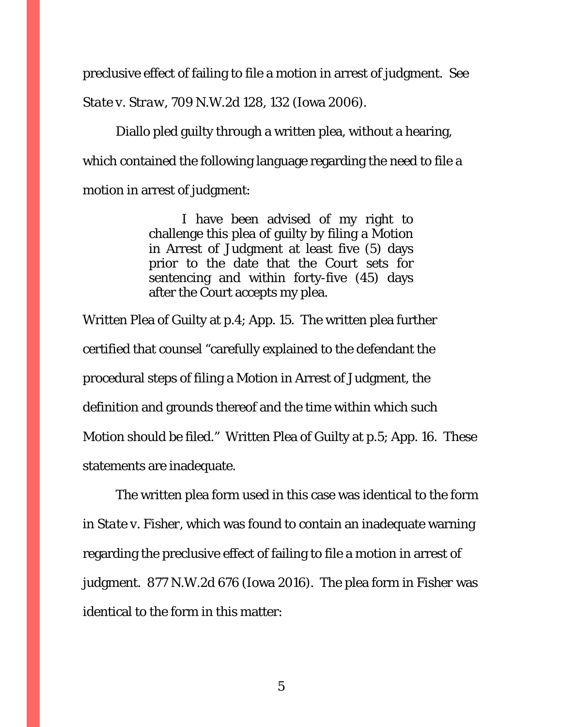preclusive effect of failing to file a motion in arrest of judgment. *See State v. Straw*, 709 N.W.2d 128, 132 (Iowa 2006).

Diallo pled guilty through a written plea, without a hearing, which contained the following language regarding the need to file a motion in arrest of judgment:

> I have been advised of my right to challenge this plea of guilty by filing a Motion in Arrest of Judgment at least five (5) days prior to the date that the Court sets for sentencing and within forty-five (45) days after the Court accepts my plea.

Written Plea of Guilty at p.4; App. 15. The written plea further certified that counsel "carefully explained to the defendant the procedural steps of filing a Motion in Arrest of Judgment, the definition and grounds thereof and the time within which such Motion should be filed." Written Plea of Guilty at p.5; App. 16. These statements are inadequate.

The written plea form used in this case was identical to the form in *State v. Fisher*, which was found to contain an inadequate warning regarding the preclusive effect of failing to file a motion in arrest of judgment. 877 N.W.2d 676 (Iowa 2016). The plea form in *Fisher* was identical to the form in this matter: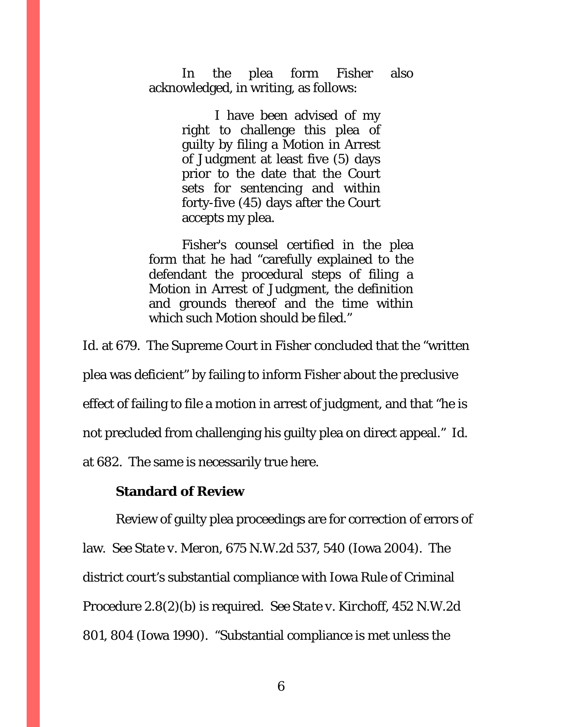In the plea form Fisher also acknowledged, in writing, as follows:

> I have been advised of my right to challenge this plea of guilty by filing a Motion in Arrest of Judgment at least five (5) days prior to the date that the Court sets for sentencing and within forty-five (45) days after the Court accepts my plea.

Fisher's counsel certified in the plea form that he had "carefully explained to the defendant the procedural steps of filing a Motion in Arrest of Judgment, the definition and grounds thereof and the time within which such Motion should be filed."

*Id.* at 679. The Supreme Court in *Fisher* concluded that the "written plea was deficient" by failing to inform Fisher about the preclusive effect of failing to file a motion in arrest of judgment, and that "he is not precluded from challenging his guilty plea on direct appeal." *Id.*  at 682. The same is necessarily true here.

### **Standard of Review**

Review of guilty plea proceedings are for correction of errors of law. *See State v. Meron*, 675 N.W.2d 537, 540 (Iowa 2004). The district court's substantial compliance with Iowa Rule of Criminal Procedure 2.8(2)(b) is required. *See State v. Kirchoff*, 452 N.W.2d 801, 804 (Iowa 1990). "Substantial compliance is met unless the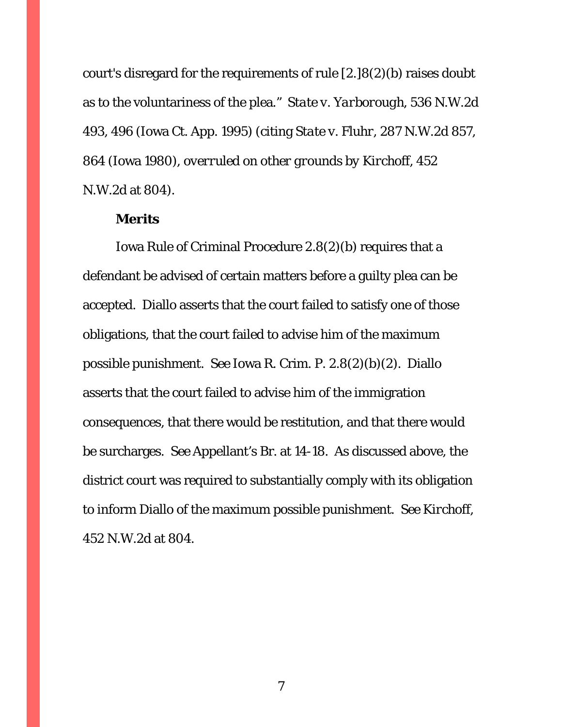court's disregard for the requirements of rule [2.]8(2)(b) raises doubt as to the voluntariness of the plea." *State v. Yarborough*, 536 N.W.2d 493, 496 (Iowa Ct. App. 1995) (citing *State v. Fluhr*, 287 N.W.2d 857, 864 (Iowa 1980), *overruled on other grounds by Kirchoff*, 452 N.W.2d at 804).

### **Merits**

Iowa Rule of Criminal Procedure 2.8(2)(b) requires that a defendant be advised of certain matters before a guilty plea can be accepted. Diallo asserts that the court failed to satisfy one of those obligations, that the court failed to advise him of the maximum possible punishment. *See* Iowa R. Crim. P. 2.8(2)(b)(2). Diallo asserts that the court failed to advise him of the immigration consequences, that there would be restitution, and that there would be surcharges. *See* Appellant's Br. at 14-18. As discussed above, the district court was required to substantially comply with its obligation to inform Diallo of the maximum possible punishment. *See Kirchoff*, 452 N.W.2d at 804.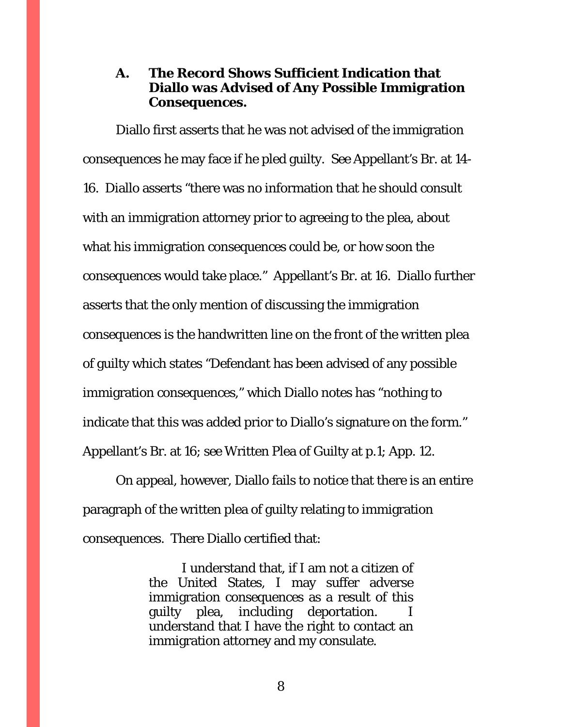# <span id="page-11-0"></span>**A. The Record Shows Sufficient Indication that Diallo was Advised of Any Possible Immigration Consequences.**

Diallo first asserts that he was not advised of the immigration consequences he may face if he pled guilty. *See* Appellant's Br. at 14- 16. Diallo asserts "there was no information that he should consult with an immigration attorney prior to agreeing to the plea, about what his immigration consequences could be, or how soon the consequences would take place." Appellant's Br. at 16. Diallo further asserts that the only mention of discussing the immigration consequences is the handwritten line on the front of the written plea of guilty which states "Defendant has been advised of any possible immigration consequences," which Diallo notes has "nothing to indicate that this was added prior to Diallo's signature on the form." Appellant's Br. at 16; *see* Written Plea of Guilty at p.1; App. 12.

On appeal, however, Diallo fails to notice that there is an entire paragraph of the written plea of guilty relating to immigration consequences. There Diallo certified that:

> I understand that, if I am not a citizen of the United States, I may suffer adverse immigration consequences as a result of this guilty plea, including deportation. understand that I have the right to contact an immigration attorney and my consulate.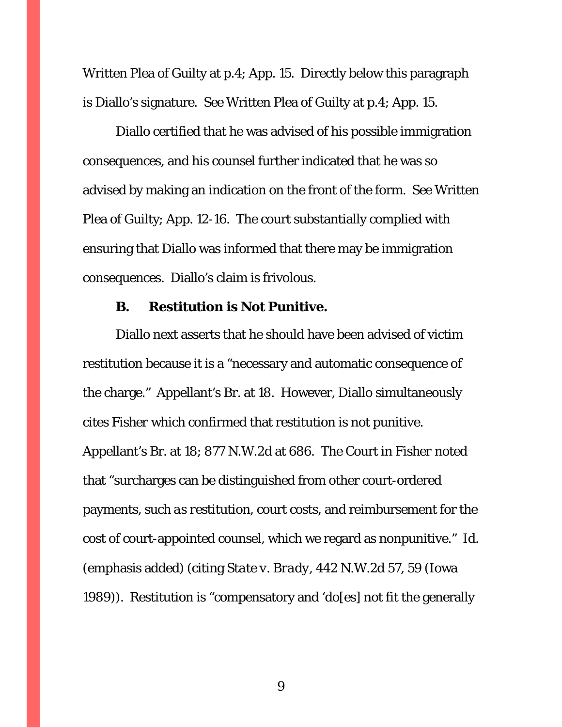Written Plea of Guilty at p.4; App. 15. Directly below this paragraph is Diallo's signature. *See* Written Plea of Guilty at p.4; App. 15.

Diallo certified that he was advised of his possible immigration consequences, and his counsel further indicated that he was so advised by making an indication on the front of the form. *See* Written Plea of Guilty; App. 12-16. The court substantially complied with ensuring that Diallo was informed that there may be immigration consequences. Diallo's claim is frivolous.

#### **B. Restitution is Not Punitive.**

<span id="page-12-0"></span>Diallo next asserts that he should have been advised of victim restitution because it is a "necessary and automatic consequence of the charge." Appellant's Br. at 18. However, Diallo simultaneously cites *Fisher* which confirmed that restitution is not punitive. Appellant's Br. at 18; 877 N.W.2d at 686. The Court in *Fisher* noted that "surcharges can be distinguished from other court-ordered payments, *such as restitution*, court costs, and reimbursement for the cost of court-appointed counsel, which we regard as nonpunitive." *Id.* (emphasis added) (citing *State v. Brady*, 442 N.W.2d 57, 59 (Iowa 1989)). Restitution is "compensatory and 'do[es] not fit the generally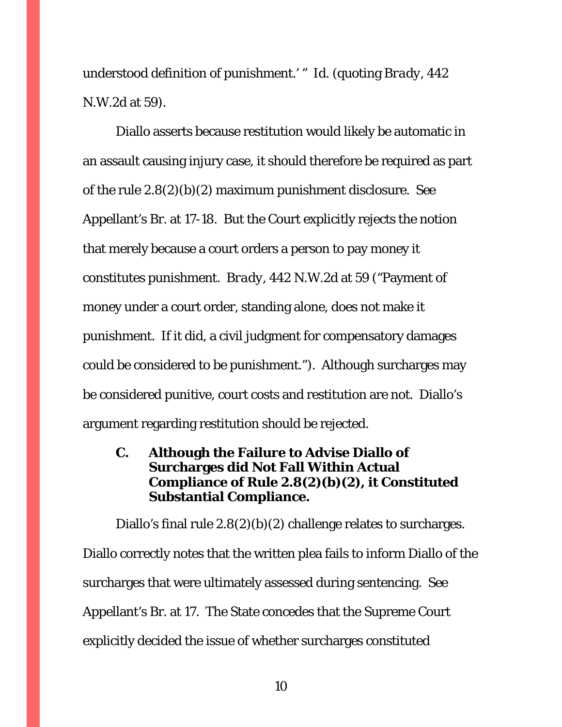understood definition of punishment.' " *Id.* (quoting *Brady*, 442 N.W.2d at 59).

Diallo asserts because restitution would likely be automatic in an assault causing injury case, it should therefore be required as part of the rule 2.8(2)(b)(2) maximum punishment disclosure. *See*  Appellant's Br. at 17-18. But the Court explicitly rejects the notion that merely because a court orders a person to pay money it constitutes punishment. *Brady*, 442 N.W.2d at 59 ("Payment of money under a court order, standing alone, does not make it punishment. If it did, a civil judgment for compensatory damages could be considered to be punishment."). Although surcharges may be considered punitive, court costs and restitution are not. Diallo's argument regarding restitution should be rejected.

# <span id="page-13-0"></span>**C. Although the Failure to Advise Diallo of Surcharges did Not Fall Within Actual Compliance of Rule 2.8(2)(b)(2), it Constituted Substantial Compliance.**

Diallo's final rule 2.8(2)(b)(2) challenge relates to surcharges. Diallo correctly notes that the written plea fails to inform Diallo of the surcharges that were ultimately assessed during sentencing. *See*  Appellant's Br. at 17. The State concedes that the Supreme Court explicitly decided the issue of whether surcharges constituted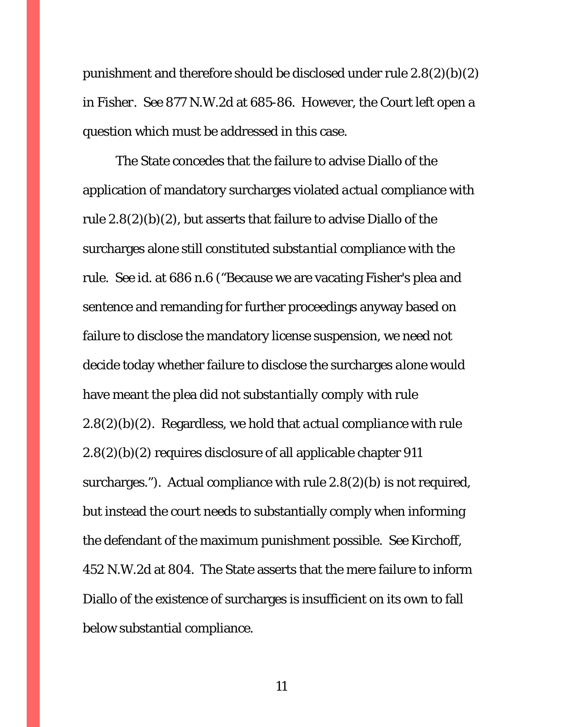punishment and therefore should be disclosed under rule 2.8(2)(b)(2) in *Fisher*. *See* 877 N.W.2d at 685-86. However, the Court left open a question which must be addressed in this case.

The State concedes that the failure to advise Diallo of the application of mandatory surcharges violated *actual* compliance with rule 2.8(2)(b)(2), but asserts that failure to advise Diallo of the surcharges alone still constituted *substantial* compliance with the rule. *See id.* at 686 n.6 ("Because we are vacating Fisher's plea and sentence and remanding for further proceedings anyway based on failure to disclose the mandatory license suspension, we need not decide today whether failure to disclose the surcharges *alone* would have meant the plea did not *substantially comply* with rule 2.8(2)(b)(2). Regardless, we hold that *actual compliance* with rule 2.8(2)(b)(2) requires disclosure of all applicable chapter 911 surcharges."). Actual compliance with rule 2.8(2)(b) is not required, but instead the court needs to substantially comply when informing the defendant of the maximum punishment possible. *See Kirchoff*, 452 N.W.2d at 804. The State asserts that the mere failure to inform Diallo of the existence of surcharges is insufficient on its own to fall below substantial compliance.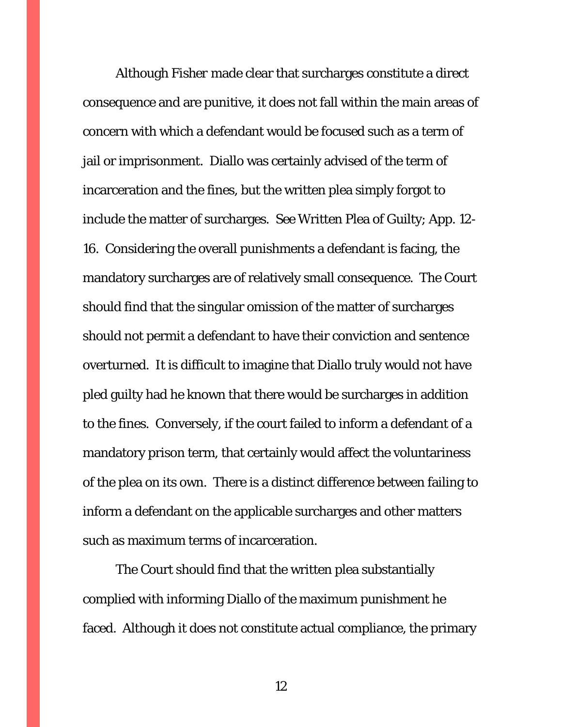Although *Fisher* made clear that surcharges constitute a direct consequence and are punitive, it does not fall within the main areas of concern with which a defendant would be focused such as a term of jail or imprisonment. Diallo was certainly advised of the term of incarceration and the fines, but the written plea simply forgot to include the matter of surcharges. *See* Written Plea of Guilty; App. 12- 16. Considering the overall punishments a defendant is facing, the mandatory surcharges are of relatively small consequence. The Court should find that the singular omission of the matter of surcharges should not permit a defendant to have their conviction and sentence overturned. It is difficult to imagine that Diallo truly would not have pled guilty had he known that there would be surcharges in addition to the fines. Conversely, if the court failed to inform a defendant of a mandatory prison term, that certainly would affect the voluntariness of the plea on its own. There is a distinct difference between failing to inform a defendant on the applicable surcharges and other matters such as maximum terms of incarceration.

The Court should find that the written plea substantially complied with informing Diallo of the maximum punishment he faced. Although it does not constitute actual compliance, the primary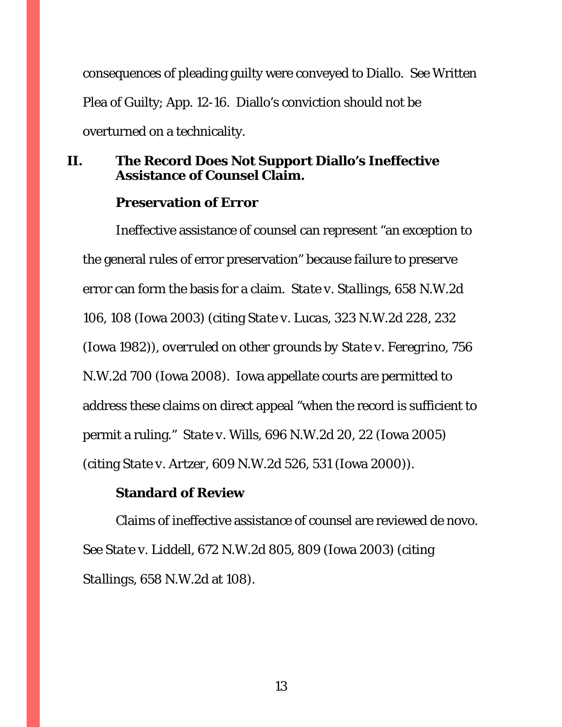consequences of pleading guilty were conveyed to Diallo. *See* Written Plea of Guilty; App. 12-16. Diallo's conviction should not be overturned on a technicality.

# <span id="page-16-0"></span>**II. The Record Does Not Support Diallo's Ineffective Assistance of Counsel Claim.**

### **Preservation of Error**

Ineffective assistance of counsel can represent "an exception to the general rules of error preservation" because failure to preserve error can form the basis for a claim. *State v. Stallings*, 658 N.W.2d 106, 108 (Iowa 2003) (citing *State v. Lucas*, 323 N.W.2d 228, 232 (Iowa 1982)), *overruled on other grounds by State v. Feregrino*, 756 N.W.2d 700 (Iowa 2008). Iowa appellate courts are permitted to address these claims on direct appeal "when the record is sufficient to permit a ruling." *State v. Wills*, 696 N.W.2d 20, 22 (Iowa 2005) (citing *State v. Artzer*, 609 N.W.2d 526, 531 (Iowa 2000)).

# **Standard of Review**

Claims of ineffective assistance of counsel are reviewed de novo. *See State v. Liddell*, 672 N.W.2d 805, 809 (Iowa 2003) (citing *Stallings*, 658 N.W.2d at 108).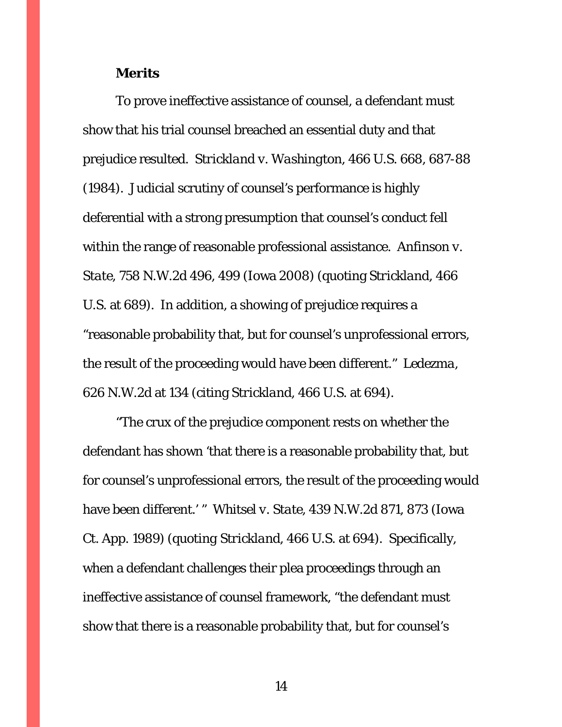#### **Merits**

To prove ineffective assistance of counsel, a defendant must show that his trial counsel breached an essential duty and that prejudice resulted. *Strickland v. Washington*, 466 U.S. 668, 687-88 (1984). Judicial scrutiny of counsel's performance is highly deferential with a strong presumption that counsel's conduct fell within the range of reasonable professional assistance. *Anfinson v. State,* 758 N.W.2d 496, 499 (Iowa 2008) (quoting *Strickland*, 466 U.S. at 689). In addition, a showing of prejudice requires a "reasonable probability that, but for counsel's unprofessional errors, the result of the proceeding would have been different." *Ledezma*, 626 N.W.2d at 134 (citing *Strickland,* 466 U.S. at 694).

"The crux of the prejudice component rests on whether the defendant has shown 'that there is a reasonable probability that, but for counsel's unprofessional errors, the result of the proceeding would have been different.' " *Whitsel v. State*, 439 N.W.2d 871, 873 (Iowa Ct. App. 1989) (*quoting Strickland*, 466 U.S. at 694). Specifically, when a defendant challenges their plea proceedings through an ineffective assistance of counsel framework, "the defendant must show that there is a reasonable probability that, but for counsel's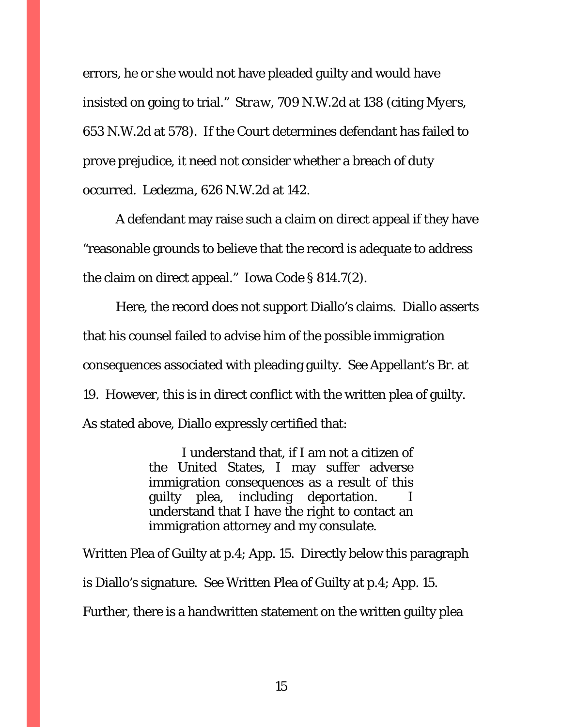errors, he or she would not have pleaded guilty and would have insisted on going to trial." *Straw*, 709 N.W.2d at 138 (citing *Myers*, 653 N.W.2d at 578). If the Court determines defendant has failed to prove prejudice, it need not consider whether a breach of duty occurred. *Ledezma*, 626 N.W.2d at 142.

A defendant may raise such a claim on direct appeal if they have "reasonable grounds to believe that the record is adequate to address the claim on direct appeal." Iowa Code § 814.7(2).

Here, the record does not support Diallo's claims. Diallo asserts that his counsel failed to advise him of the possible immigration consequences associated with pleading guilty. *See* Appellant's Br. at 19. However, this is in direct conflict with the written plea of guilty. As stated above, Diallo expressly certified that:

> I understand that, if I am not a citizen of the United States, I may suffer adverse immigration consequences as a result of this guilty plea, including deportation. understand that I have the right to contact an immigration attorney and my consulate.

Written Plea of Guilty at p.4; App. 15. Directly below this paragraph is Diallo's signature. *See* Written Plea of Guilty at p.4; App. 15. Further, there is a handwritten statement on the written guilty plea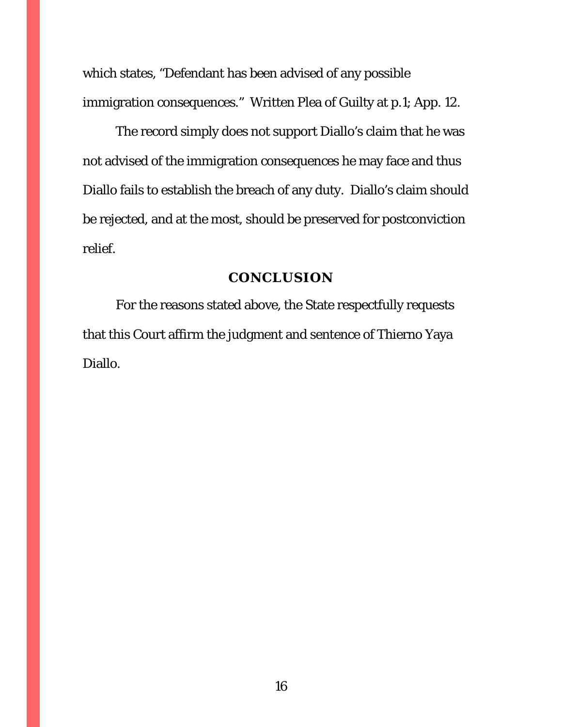which states, "Defendant has been advised of any possible immigration consequences." Written Plea of Guilty at p.1; App. 12.

The record simply does not support Diallo's claim that he was not advised of the immigration consequences he may face and thus Diallo fails to establish the breach of any duty. Diallo's claim should be rejected, and at the most, should be preserved for postconviction relief.

#### **CONCLUSION**

<span id="page-19-0"></span>For the reasons stated above, the State respectfully requests that this Court affirm the judgment and sentence of Thierno Yaya Diallo.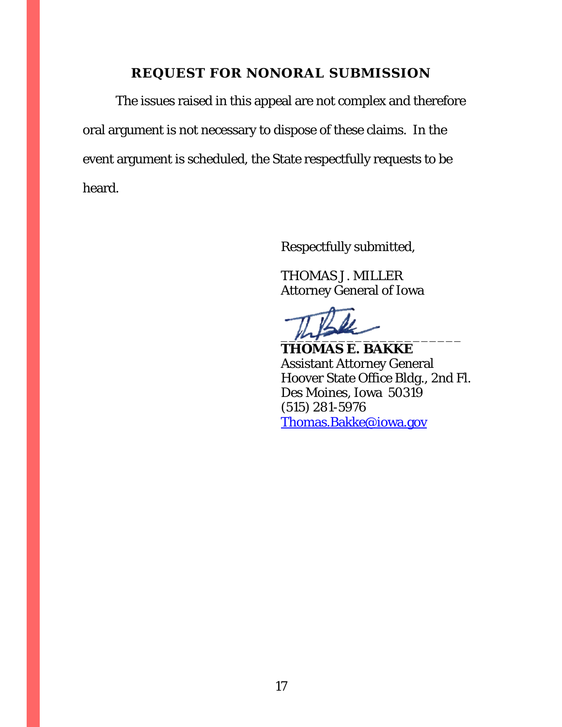# **REQUEST FOR NONORAL SUBMISSION**

<span id="page-20-0"></span>The issues raised in this appeal are not complex and therefore oral argument is not necessary to dispose of these claims. In the event argument is scheduled, the State respectfully requests to be heard.

Respectfully submitted,

THOMAS J. MILLER Attorney General of Iowa

 $m_{\uparrow}$ 

**THOMAS E. BAKKE** Assistant Attorney General Hoover State Office Bldg., 2nd Fl. Des Moines, Iowa 50319 (515) 281-5976 [Thomas.Bakke@iowa.gov](mailto:Thomas.Bakke@iowa.gov)